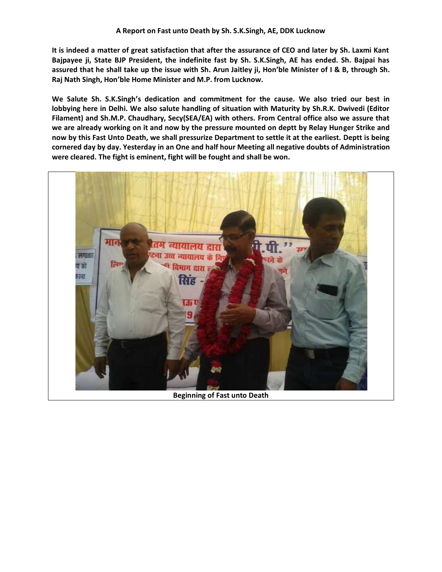**It is indeed a matter of great satisfaction that after the assurance of CEO and later by Sh. Laxmi Kant Bajpayee ji, State BJP President, the indefinite fast by Sh. S.K.Singh, AE has ended. Sh. Bajpai has assured that he shall take up the issue with Sh. Arun Jaitley ji, Hon'ble Minister of I & B, through Sh. Raj Nath Singh, Hon'ble Home Minister and M.P. from Lucknow.**

**We Salute Sh. S.K.Singh's dedication and commitment for the cause. We also tried our best in lobbying here in Delhi. We also salute handling of situation with Maturity by Sh.R.K. Dwivedi (Editor Filament) and Sh.M.P. Chaudhary, Secy(SEA/EA) with others. From Central office also we assure that we are already working on it and now by the pressure mounted on deptt by Relay Hunger Strike and now by this Fast Unto Death, we shall pressurize Department to settle it at the earliest. Deptt is being cornered day by day. Yesterday in an One and half hour Meeting all negative doubts of Administration were cleared. The fight is eminent, fight will be fought and shall be won.**



**Beginning of Fast unto Death**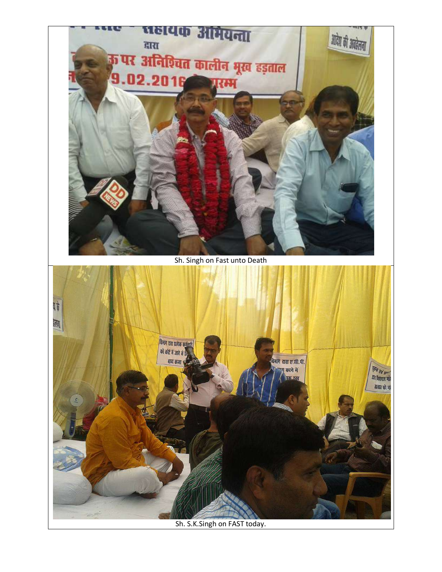